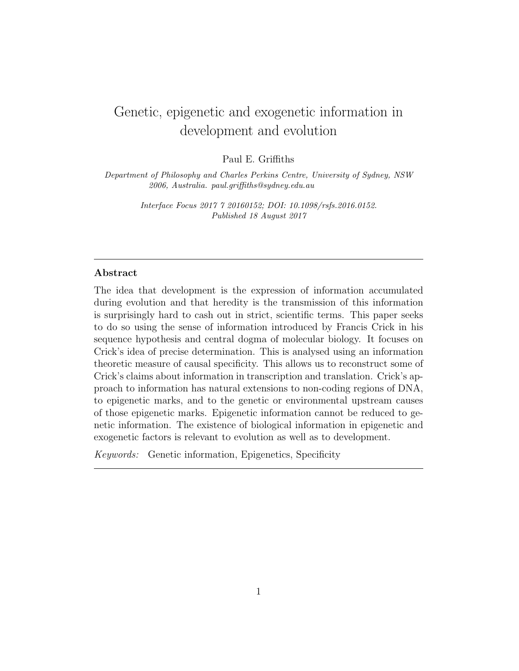# Genetic, epigenetic and exogenetic information in development and evolution

Paul E. Griffiths

Department of Philosophy and Charles Perkins Centre, University of Sydney, NSW 2006, Australia. paul.griffiths@sydney.edu.au

> Interface Focus 2017 7 20160152; DOI: 10.1098/rsfs.2016.0152. Published 18 August 2017

#### Abstract

The idea that development is the expression of information accumulated during evolution and that heredity is the transmission of this information is surprisingly hard to cash out in strict, scientific terms. This paper seeks to do so using the sense of information introduced by Francis Crick in his sequence hypothesis and central dogma of molecular biology. It focuses on Crick's idea of precise determination. This is analysed using an information theoretic measure of causal specificity. This allows us to reconstruct some of Crick's claims about information in transcription and translation. Crick's approach to information has natural extensions to non-coding regions of DNA, to epigenetic marks, and to the genetic or environmental upstream causes of those epigenetic marks. Epigenetic information cannot be reduced to genetic information. The existence of biological information in epigenetic and exogenetic factors is relevant to evolution as well as to development.

Keywords: Genetic information, Epigenetics, Specificity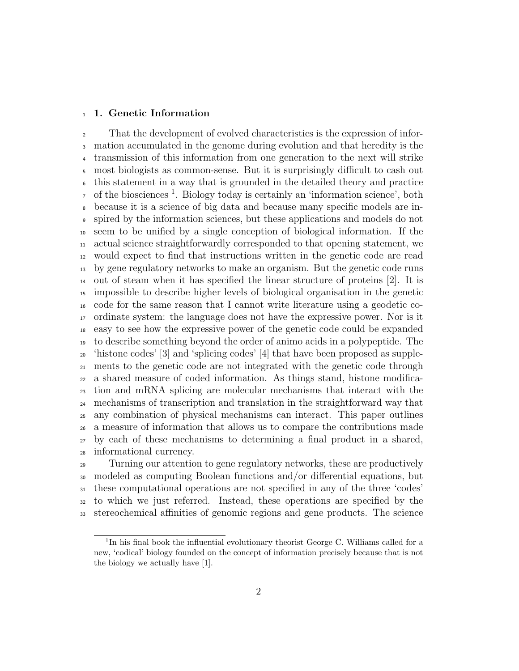#### 1. Genetic Information

 That the development of evolved characteristics is the expression of infor- mation accumulated in the genome during evolution and that heredity is the transmission of this information from one generation to the next will strike most biologists as common-sense. But it is surprisingly difficult to cash out this statement in a way that is grounded in the detailed theory and practice  $\sigma$  of the biosciences <sup>1</sup>. Biology today is certainly an 'information science', both because it is a science of big data and because many specific models are in- spired by the information sciences, but these applications and models do not seem to be unified by a single conception of biological information. If the actual science straightforwardly corresponded to that opening statement, we would expect to find that instructions written in the genetic code are read by gene regulatory networks to make an organism. But the genetic code runs out of steam when it has specified the linear structure of proteins [2]. It is impossible to describe higher levels of biological organisation in the genetic code for the same reason that I cannot write literature using a geodetic co- ordinate system: the language does not have the expressive power. Nor is it easy to see how the expressive power of the genetic code could be expanded to describe something beyond the order of animo acids in a polypeptide. The 'histone codes' [3] and 'splicing codes' [4] that have been proposed as supple- ments to the genetic code are not integrated with the genetic code through a shared measure of coded information. As things stand, histone modifica- tion and mRNA splicing are molecular mechanisms that interact with the mechanisms of transcription and translation in the straightforward way that any combination of physical mechanisms can interact. This paper outlines a measure of information that allows us to compare the contributions made by each of these mechanisms to determining a final product in a shared, informational currency.

 Turning our attention to gene regulatory networks, these are productively modeled as computing Boolean functions and/or differential equations, but these computational operations are not specified in any of the three 'codes' to which we just referred. Instead, these operations are specified by the stereochemical affinities of genomic regions and gene products. The science

<sup>&</sup>lt;sup>1</sup>In his final book the influential evolutionary theorist George C. Williams called for a new, 'codical' biology founded on the concept of information precisely because that is not the biology we actually have [1].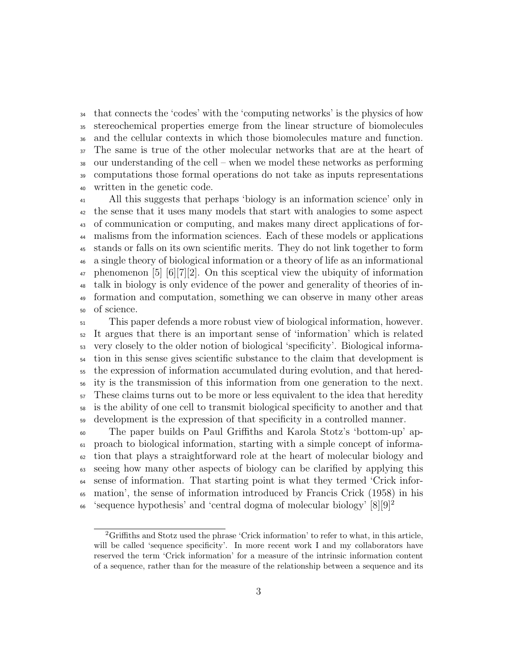<sup>34</sup> that connects the 'codes' with the 'computing networks' is the physics of how stereochemical properties emerge from the linear structure of biomolecules and the cellular contexts in which those biomolecules mature and function. The same is true of the other molecular networks that are at the heart of our understanding of the cell – when we model these networks as performing computations those formal operations do not take as inputs representations written in the genetic code.

 All this suggests that perhaps 'biology is an information science' only in the sense that it uses many models that start with analogies to some aspect of communication or computing, and makes many direct applications of for- malisms from the information sciences. Each of these models or applications stands or falls on its own scientific merits. They do not link together to form a single theory of biological information or a theory of life as an informational  $\alpha$ <sub>47</sub> phenomenon [5] [6][7][2]. On this sceptical view the ubiquity of information talk in biology is only evidence of the power and generality of theories of in- formation and computation, something we can observe in many other areas of science.

 This paper defends a more robust view of biological information, however. It argues that there is an important sense of 'information' which is related very closely to the older notion of biological 'specificity'. Biological informa- tion in this sense gives scientific substance to the claim that development is the expression of information accumulated during evolution, and that hered- ity is the transmission of this information from one generation to the next. These claims turns out to be more or less equivalent to the idea that heredity is the ability of one cell to transmit biological specificity to another and that development is the expression of that specificity in a controlled manner.

 The paper builds on Paul Griffiths and Karola Stotz's 'bottom-up' ap- proach to biological information, starting with a simple concept of informa- tion that plays a straightforward role at the heart of molecular biology and seeing how many other aspects of biology can be clarified by applying this sense of information. That starting point is what they termed 'Crick infor- mation', the sense of information introduced by Francis Crick (1958) in his 'sequence hypothesis' and 'central dogma of molecular biology' [8][9]<sup>2</sup> 

Griffiths and Stotz used the phrase 'Crick information' to refer to what, in this article, will be called 'sequence specificity'. In more recent work I and my collaborators have reserved the term 'Crick information' for a measure of the intrinsic information content of a sequence, rather than for the measure of the relationship between a sequence and its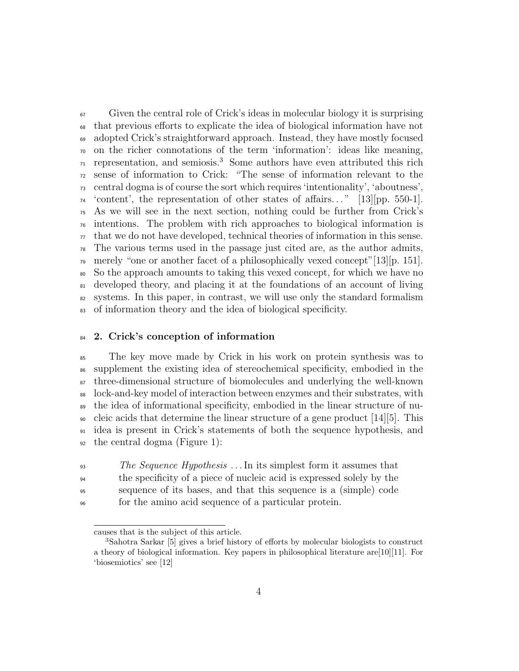Given the central role of Crick's ideas in molecular biology it is surprising that previous efforts to explicate the idea of biological information have not adopted Crick's straightforward approach. Instead, they have mostly focused on the richer connotations of the term 'information': ideas like meaning,  $\tau_1$  representation, and semiosis.<sup>3</sup> Some authors have even attributed this rich sense of information to Crick: "The sense of information relevant to the central dogma is of course the sort which requires 'intentionality', 'aboutness',  $\frac{74}{13}$  'content', the representation of other states of affairs..." [13][pp. 550-1]. As we will see in the next section, nothing could be further from Crick's intentions. The problem with rich approaches to biological information is  $\pi$  that we do not have developed, technical theories of information in this sense. The various terms used in the passage just cited are, as the author admits, merely "one or another facet of a philosophically vexed concept"[13][p. 151]. So the approach amounts to taking this vexed concept, for which we have no developed theory, and placing it at the foundations of an account of living systems. In this paper, in contrast, we will use only the standard formalism of information theory and the idea of biological specificity.

# 84 2. Crick's conception of information

 The key move made by Crick in his work on protein synthesis was to supplement the existing idea of stereochemical specificity, embodied in the three-dimensional structure of biomolecules and underlying the well-known lock-and-key model of interaction between enzymes and their substrates, with the idea of informational specificity, embodied in the linear structure of nu- cleic acids that determine the linear structure of a gene product [14][5]. This idea is present in Crick's statements of both the sequence hypothesis, and the central dogma (Figure 1):

<sup>93</sup> The Sequence Hypothesis ... In its simplest form it assumes that the specificity of a piece of nucleic acid is expressed solely by the sequence of its bases, and that this sequence is a (simple) code for the amino acid sequence of a particular protein.

causes that is the subject of this article.

Sahotra Sarkar [5] gives a brief history of efforts by molecular biologists to construct a theory of biological information. Key papers in philosophical literature are[10][11]. For 'biosemiotics' see [12]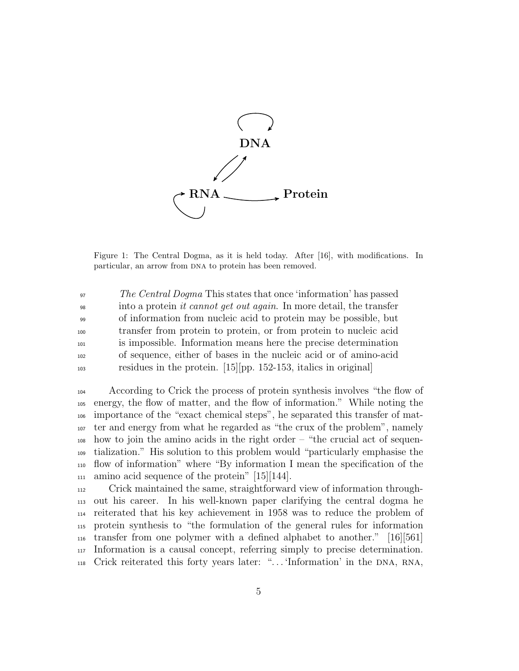

Figure 1: The Central Dogma, as it is held today. After [16], with modifications. In particular, an arrow from DNA to protein has been removed.

 The Central Dogma This states that once 'information' has passed <sup>98</sup> into a protein *it cannot get out again*. In more detail, the transfer of information from nucleic acid to protein may be possible, but transfer from protein to protein, or from protein to nucleic acid is impossible. Information means here the precise determination of sequence, either of bases in the nucleic acid or of amino-acid residues in the protein. [15][pp. 152-153, italics in original]

 According to Crick the process of protein synthesis involves "the flow of energy, the flow of matter, and the flow of information." While noting the importance of the "exact chemical steps", he separated this transfer of mat- ter and energy from what he regarded as "the crux of the problem", namely how to join the amino acids in the right order – "the crucial act of sequen- tialization." His solution to this problem would "particularly emphasise the flow of information" where "By information I mean the specification of the amino acid sequence of the protein" [15][144].

 Crick maintained the same, straightforward view of information through- out his career. In his well-known paper clarifying the central dogma he reiterated that his key achievement in 1958 was to reduce the problem of protein synthesis to "the formulation of the general rules for information transfer from one polymer with a defined alphabet to another." [16][561] Information is a causal concept, referring simply to precise determination. Crick reiterated this forty years later: ". . . 'Information' in the dna, rna,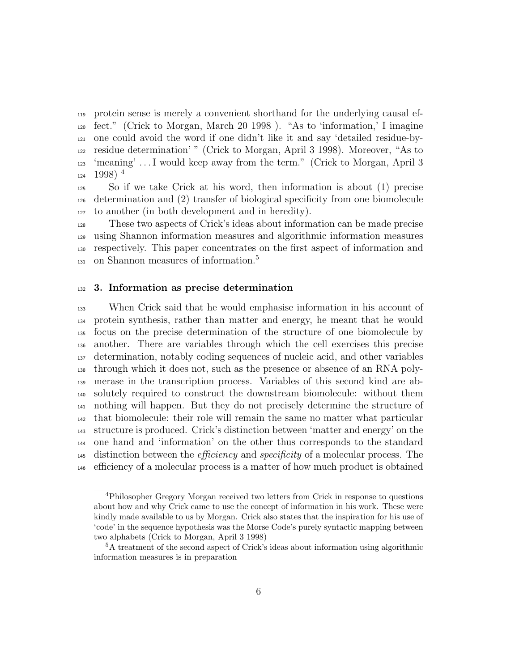protein sense is merely a convenient shorthand for the underlying causal ef- fect." (Crick to Morgan, March 20 1998 ). "As to 'information,' I imagine one could avoid the word if one didn't like it and say 'detailed residue-by- residue determination' " (Crick to Morgan, April 3 1998). Moreover, "As to 'meaning' . . . I would keep away from the term." (Crick to Morgan, April 3 1998) <sup>4</sup> 

 So if we take Crick at his word, then information is about (1) precise determination and (2) transfer of biological specificity from one biomolecule to another (in both development and in heredity).

 These two aspects of Crick's ideas about information can be made precise using Shannon information measures and algorithmic information measures respectively. This paper concentrates on the first aspect of information and on Shannon measures of information.<sup>5</sup> 

#### 3. Information as precise determination

 When Crick said that he would emphasise information in his account of protein synthesis, rather than matter and energy, he meant that he would focus on the precise determination of the structure of one biomolecule by another. There are variables through which the cell exercises this precise determination, notably coding sequences of nucleic acid, and other variables through which it does not, such as the presence or absence of an RNA poly- merase in the transcription process. Variables of this second kind are ab- solutely required to construct the downstream biomolecule: without them nothing will happen. But they do not precisely determine the structure of that biomolecule: their role will remain the same no matter what particular structure is produced. Crick's distinction between 'matter and energy' on the one hand and 'information' on the other thus corresponds to the standard <sup>145</sup> distinction between the *efficiency* and *specificity* of a molecular process. The efficiency of a molecular process is a matter of how much product is obtained

Philosopher Gregory Morgan received two letters from Crick in response to questions about how and why Crick came to use the concept of information in his work. These were kindly made available to us by Morgan. Crick also states that the inspiration for his use of 'code' in the sequence hypothesis was the Morse Code's purely syntactic mapping between two alphabets (Crick to Morgan, April 3 1998)

A treatment of the second aspect of Crick's ideas about information using algorithmic information measures is in preparation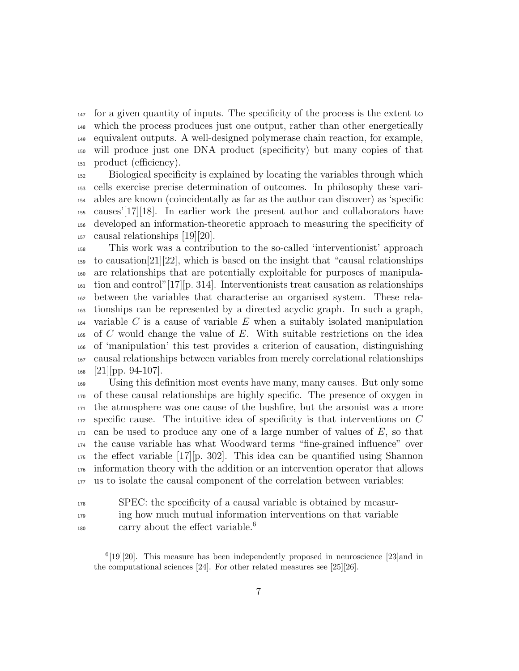for a given quantity of inputs. The specificity of the process is the extent to which the process produces just one output, rather than other energetically equivalent outputs. A well-designed polymerase chain reaction, for example, will produce just one DNA product (specificity) but many copies of that product (efficiency).

 Biological specificity is explained by locating the variables through which cells exercise precise determination of outcomes. In philosophy these vari- ables are known (coincidentally as far as the author can discover) as 'specific causes'[17][18]. In earlier work the present author and collaborators have developed an information-theoretic approach to measuring the specificity of causal relationships [19][20].

 This work was a contribution to the so-called 'interventionist' approach to causation[21][22], which is based on the insight that "causal relationships are relationships that are potentially exploitable for purposes of manipula- $_{161}$  tion and control" [17][p. 314]. Interventionists treat causation as relationships between the variables that characterise an organised system. These rela- tionships can be represented by a directed acyclic graph. In such a graph, variable C is a cause of variable E when a suitably isolated manipulation of C would change the value of E. With suitable restrictions on the idea of 'manipulation' this test provides a criterion of causation, distinguishing causal relationships between variables from merely correlational relationships  $_{168}$  [21][pp. 94-107].

 Using this definition most events have many, many causes. But only some of these causal relationships are highly specific. The presence of oxygen in the atmosphere was one cause of the bushfire, but the arsonist was a more specific cause. The intuitive idea of specificity is that interventions on C can be used to produce any one of a large number of values of  $E$ , so that the cause variable has what Woodward terms "fine-grained influence" over the effect variable [17][p. 302]. This idea can be quantified using Shannon information theory with the addition or an intervention operator that allows us to isolate the causal component of the correlation between variables:

- SPEC: the specificity of a causal variable is obtained by measur-
- ing how much mutual information interventions on that variable carry about the effect variable.<sup>6</sup>

<sup>&</sup>lt;sup>6</sup>[19][20]. This measure has been independently proposed in neuroscience [23] and in the computational sciences [24]. For other related measures see [25][26].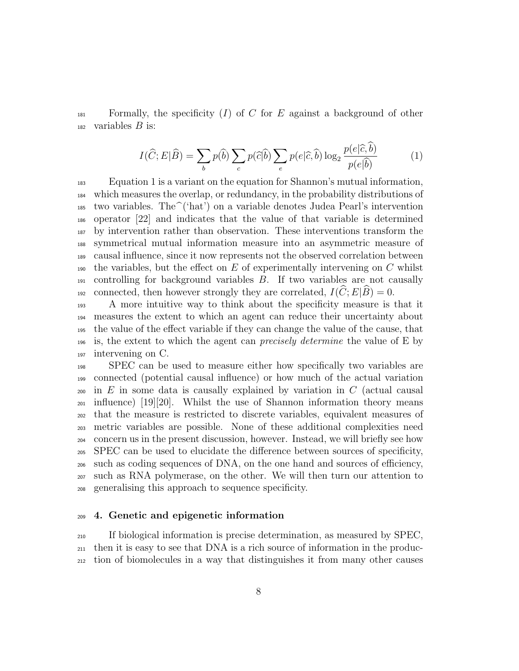$181$  Formally, the specificity (I) of C for E against a background of other  $_{182}$  variables *B* is:

$$
I(\widehat{C}; E|\widehat{B}) = \sum_{b} p(\widehat{b}) \sum_{c} p(\widehat{c}|\widehat{b}) \sum_{e} p(e|\widehat{c}, \widehat{b}) \log_2 \frac{p(e|\widehat{c}, b)}{p(e|\widehat{b})}
$$
(1)

<sup>183</sup> Equation 1 is a variant on the equation for Shannon's mutual information, <sup>184</sup> which measures the overlap, or redundancy, in the probability distributions of <sup>185</sup> two variables. The  $\hat{ }$ ('hat') on a variable denotes Judea Pearl's intervention<br><sup>186</sup> operator [22] and indicates that the value of that variable is determined <sup>186</sup> operator [22] and indicates that the value of that variable is determined <sup>187</sup> by intervention rather than observation. These interventions transform the <sup>188</sup> symmetrical mutual information measure into an asymmetric measure of <sup>189</sup> causal influence, since it now represents not the observed correlation between 190 the variables, but the effect on  $E$  of experimentally intervening on  $C$  whilst  $_{191}$  controlling for background variables B. If two variables are not causally <sup>192</sup> connected, then however strongly they are correlated,  $I(\widehat{C}; E|\widehat{B}) = 0$ .<br>A more intuitive way to think about the specificity measure is

 A more intuitive way to think about the specificity measure is that it measures the extent to which an agent can reduce their uncertainty about the value of the effect variable if they can change the value of the cause, that <sup>196</sup> is, the extent to which the agent can *precisely determine* the value of E by intervening on C.

 SPEC can be used to measure either how specifically two variables are connected (potential causal influence) or how much of the actual variation  $_{200}$  in E in some data is causally explained by variation in C (actual causal influence) [19][20]. Whilst the use of Shannon information theory means that the measure is restricted to discrete variables, equivalent measures of metric variables are possible. None of these additional complexities need concern us in the present discussion, however. Instead, we will briefly see how SPEC can be used to elucidate the difference between sources of specificity, such as coding sequences of DNA, on the one hand and sources of efficiency, such as RNA polymerase, on the other. We will then turn our attention to generalising this approach to sequence specificity.

# <sup>209</sup> 4. Genetic and epigenetic information

<sup>210</sup> If biological information is precise determination, as measured by SPEC, <sup>211</sup> then it is easy to see that DNA is a rich source of information in the produc-<sup>212</sup> tion of biomolecules in a way that distinguishes it from many other causes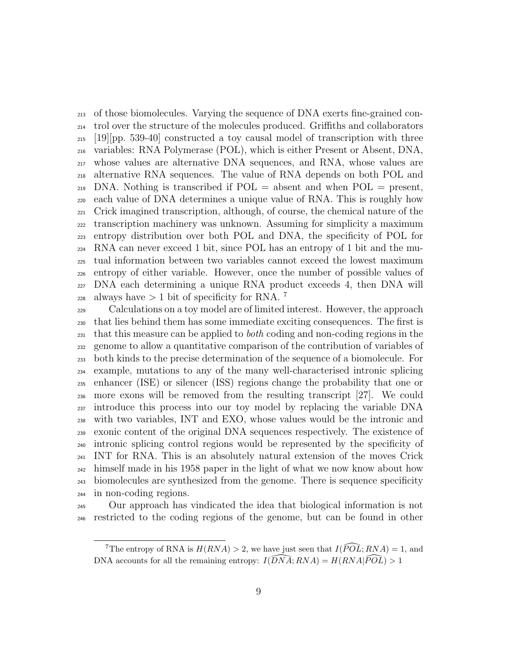of those biomolecules. Varying the sequence of DNA exerts fine-grained con- trol over the structure of the molecules produced. Griffiths and collaborators [19][pp. 539-40] constructed a toy causal model of transcription with three variables: RNA Polymerase (POL), which is either Present or Absent, DNA, whose values are alternative DNA sequences, and RNA, whose values are alternative RNA sequences. The value of RNA depends on both POL and  $_{219}$  DNA. Nothing is transcribed if POL = absent and when POL = present, each value of DNA determines a unique value of RNA. This is roughly how Crick imagined transcription, although, of course, the chemical nature of the transcription machinery was unknown. Assuming for simplicity a maximum entropy distribution over both POL and DNA, the specificity of POL for RNA can never exceed 1 bit, since POL has an entropy of 1 bit and the mu- tual information between two variables cannot exceed the lowest maximum entropy of either variable. However, once the number of possible values of DNA each determining a unique RNA product exceeds 4, then DNA will always have  $> 1$  bit of specificity for RNA. <sup>7</sup> 

 Calculations on a toy model are of limited interest. However, the approach that lies behind them has some immediate exciting consequences. The first is <sup>231</sup> that this measure can be applied to *both* coding and non-coding regions in the genome to allow a quantitative comparison of the contribution of variables of both kinds to the precise determination of the sequence of a biomolecule. For example, mutations to any of the many well-characterised intronic splicing enhancer (ISE) or silencer (ISS) regions change the probability that one or more exons will be removed from the resulting transcript [27]. We could introduce this process into our toy model by replacing the variable DNA with two variables, INT and EXO, whose values would be the intronic and exonic content of the original DNA sequences respectively. The existence of intronic splicing control regions would be represented by the specificity of INT for RNA. This is an absolutely natural extension of the moves Crick himself made in his 1958 paper in the light of what we now know about how biomolecules are synthesized from the genome. There is sequence specificity in non-coding regions.

 Our approach has vindicated the idea that biological information is not restricted to the coding regions of the genome, but can be found in other

<sup>&</sup>lt;sup>7</sup>The entropy of RNA is  $H(RNA) > 2$ , we have just seen that  $I(\widehat{POL}; RNA) = 1$ , and DNA accounts for all the remaining entropy:  $I(DNA; RNA) = H(RNA|\widehat{POL}) > 1$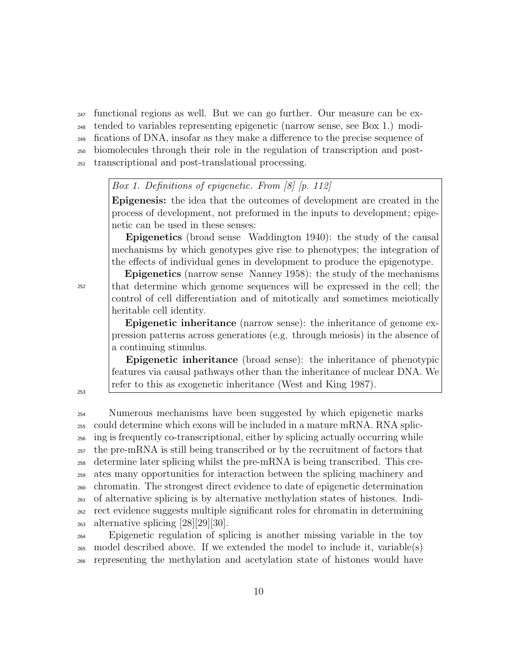<sup>247</sup> functional regions as well. But we can go further. Our measure can be ex-

<sup>248</sup> tended to variables representing epigenetic (narrow sense, see Box 1.) modi-

<sup>249</sup> fications of DNA, insofar as they make a difference to the precise sequence of <sup>250</sup> biomolecules through their role in the regulation of transcription and post-

<sup>251</sup> transcriptional and post-translational processing.

Box 1. Definitions of epigenetic. From [8] [p. 112]

Epigenesis: the idea that the outcomes of development are created in the process of development, not preformed in the inputs to development; epigenetic can be used in these senses:

Epigenetics (broad sense Waddington 1940): the study of the causal mechanisms by which genotypes give rise to phenotypes; the integration of the effects of individual genes in development to produce the epigenotype.

252

Epigenetics (narrow sense Nanney 1958): the study of the mechanisms that determine which genome sequences will be expressed in the cell; the control of cell differentiation and of mitotically and sometimes meiotically heritable cell identity.

Epigenetic inheritance (narrow sense): the inheritance of genome expression patterns across generations (e.g. through meiosis) in the absence of a continuing stimulus.

Epigenetic inheritance (broad sense): the inheritance of phenotypic features via causal pathways other than the inheritance of nuclear DNA. We refer to this as exogenetic inheritance (West and King 1987).

253

 Numerous mechanisms have been suggested by which epigenetic marks could determine which exons will be included in a mature mRNA. RNA splic- ing is frequently co-transcriptional, either by splicing actually occurring while the pre-mRNA is still being transcribed or by the recruitment of factors that determine later splicing whilst the pre-mRNA is being transcribed. This cre- ates many opportunities for interaction between the splicing machinery and chromatin. The strongest direct evidence to date of epigenetic determination of alternative splicing is by alternative methylation states of histones. Indi- rect evidence suggests multiple significant roles for chromatin in determining alternative splicing [28][29][30].

<sup>264</sup> Epigenetic regulation of splicing is another missing variable in the toy <sup>265</sup> model described above. If we extended the model to include it, variable(s) <sup>266</sup> representing the methylation and acetylation state of histones would have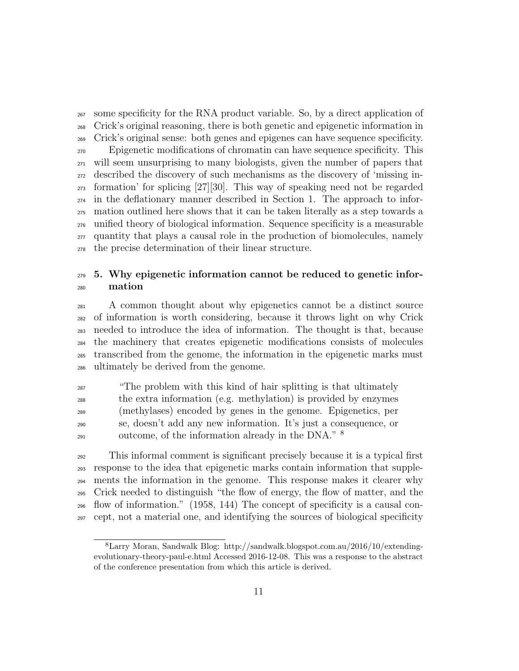some specificity for the RNA product variable. So, by a direct application of Crick's original reasoning, there is both genetic and epigenetic information in Crick's original sense: both genes and epigenes can have sequence specificity. Epigenetic modifications of chromatin can have sequence specificity. This will seem unsurprising to many biologists, given the number of papers that described the discovery of such mechanisms as the discovery of 'missing in- formation' for splicing [27][30]. This way of speaking need not be regarded in the deflationary manner described in Section 1. The approach to infor- mation outlined here shows that it can be taken literally as a step towards a unified theory of biological information. Sequence specificity is a measurable quantity that plays a causal role in the production of biomolecules, namely the precise determination of their linear structure.

# 5. Why epigenetic information cannot be reduced to genetic infor-mation

 A common thought about why epigenetics cannot be a distinct source of information is worth considering, because it throws light on why Crick needed to introduce the idea of information. The thought is that, because the machinery that creates epigenetic modifications consists of molecules transcribed from the genome, the information in the epigenetic marks must ultimately be derived from the genome.

 "The problem with this kind of hair splitting is that ultimately the extra information (e.g. methylation) is provided by enzymes (methylases) encoded by genes in the genome. Epigenetics, per se, doesn't add any new information. It's just a consequence, or outcome, of the information already in the DNA." <sup>8</sup> 

 This informal comment is significant precisely because it is a typical first response to the idea that epigenetic marks contain information that supple- ments the information in the genome. This response makes it clearer why Crick needed to distinguish "the flow of energy, the flow of matter, and the flow of information." (1958, 144) The concept of specificity is a causal con-cept, not a material one, and identifying the sources of biological specificity

Larry Moran, Sandwalk Blog: http://sandwalk.blogspot.com.au/2016/10/extendingevolutionary-theory-paul-e.html Accessed 2016-12-08. This was a response to the abstract of the conference presentation from which this article is derived.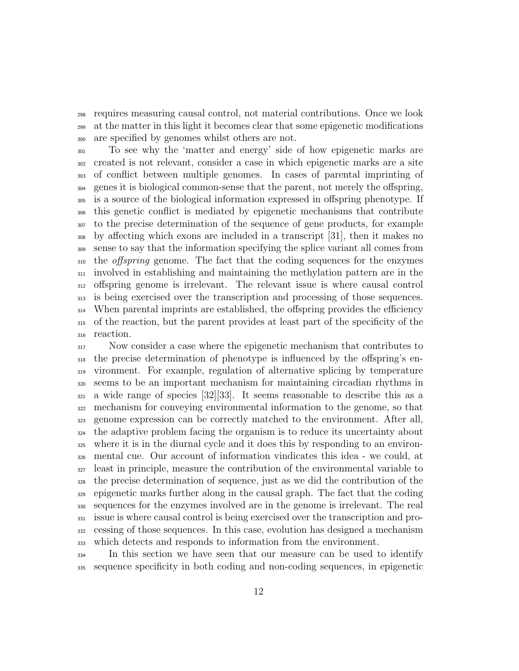requires measuring causal control, not material contributions. Once we look at the matter in this light it becomes clear that some epigenetic modifications are specified by genomes whilst others are not.

 To see why the 'matter and energy' side of how epigenetic marks are created is not relevant, consider a case in which epigenetic marks are a site of conflict between multiple genomes. In cases of parental imprinting of genes it is biological common-sense that the parent, not merely the offspring, is a source of the biological information expressed in offspring phenotype. If this genetic conflict is mediated by epigenetic mechanisms that contribute to the precise determination of the sequence of gene products, for example by affecting which exons are included in a transcript [31], then it makes no sense to say that the information specifying the splice variant all comes from 310 the *offspring* genome. The fact that the coding sequences for the enzymes involved in establishing and maintaining the methylation pattern are in the offspring genome is irrelevant. The relevant issue is where causal control is being exercised over the transcription and processing of those sequences. When parental imprints are established, the offspring provides the efficiency of the reaction, but the parent provides at least part of the specificity of the reaction.

 Now consider a case where the epigenetic mechanism that contributes to the precise determination of phenotype is influenced by the offspring's en- vironment. For example, regulation of alternative splicing by temperature seems to be an important mechanism for maintaining circadian rhythms in a wide range of species [32][33]. It seems reasonable to describe this as a mechanism for conveying environmental information to the genome, so that genome expression can be correctly matched to the environment. After all, the adaptive problem facing the organism is to reduce its uncertainty about where it is in the diurnal cycle and it does this by responding to an environ- mental cue. Our account of information vindicates this idea - we could, at least in principle, measure the contribution of the environmental variable to the precise determination of sequence, just as we did the contribution of the epigenetic marks further along in the causal graph. The fact that the coding sequences for the enzymes involved are in the genome is irrelevant. The real issue is where causal control is being exercised over the transcription and pro- cessing of those sequences. In this case, evolution has designed a mechanism which detects and responds to information from the environment.

<sup>334</sup> In this section we have seen that our measure can be used to identify sequence specificity in both coding and non-coding sequences, in epigenetic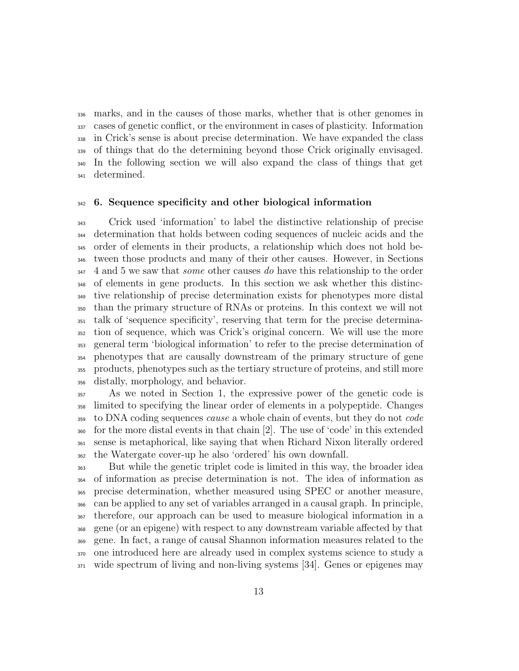marks, and in the causes of those marks, whether that is other genomes in cases of genetic conflict, or the environment in cases of plasticity. Information in Crick's sense is about precise determination. We have expanded the class of things that do the determining beyond those Crick originally envisaged. In the following section we will also expand the class of things that get determined.

#### 6. Sequence specificity and other biological information

 Crick used 'information' to label the distinctive relationship of precise determination that holds between coding sequences of nucleic acids and the order of elements in their products, a relationship which does not hold be- tween those products and many of their other causes. However, in Sections  $347 \quad 4$  and 5 we saw that *some* other causes do have this relationship to the order of elements in gene products. In this section we ask whether this distinc- tive relationship of precise determination exists for phenotypes more distal than the primary structure of RNAs or proteins. In this context we will not talk of 'sequence specificity', reserving that term for the precise determina- tion of sequence, which was Crick's original concern. We will use the more general term 'biological information' to refer to the precise determination of phenotypes that are causally downstream of the primary structure of gene products, phenotypes such as the tertiary structure of proteins, and still more distally, morphology, and behavior.

 As we noted in Section 1, the expressive power of the genetic code is limited to specifying the linear order of elements in a polypeptide. Changes <sup>359</sup> to DNA coding sequences *cause* a whole chain of events, but they do not *code*  for the more distal events in that chain [2]. The use of 'code' in this extended sense is metaphorical, like saying that when Richard Nixon literally ordered the Watergate cover-up he also 'ordered' his own downfall.

 But while the genetic triplet code is limited in this way, the broader idea of information as precise determination is not. The idea of information as precise determination, whether measured using SPEC or another measure, can be applied to any set of variables arranged in a causal graph. In principle, therefore, our approach can be used to measure biological information in a gene (or an epigene) with respect to any downstream variable affected by that gene. In fact, a range of causal Shannon information measures related to the one introduced here are already used in complex systems science to study a wide spectrum of living and non-living systems [34]. Genes or epigenes may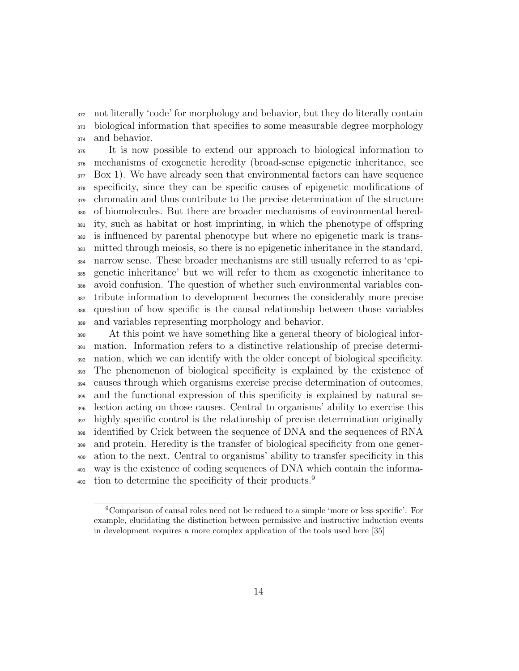not literally 'code' for morphology and behavior, but they do literally contain biological information that specifies to some measurable degree morphology and behavior.

 It is now possible to extend our approach to biological information to mechanisms of exogenetic heredity (broad-sense epigenetic inheritance, see Box 1). We have already seen that environmental factors can have sequence specificity, since they can be specific causes of epigenetic modifications of chromatin and thus contribute to the precise determination of the structure of biomolecules. But there are broader mechanisms of environmental hered- ity, such as habitat or host imprinting, in which the phenotype of offspring is influenced by parental phenotype but where no epigenetic mark is trans- mitted through meiosis, so there is no epigenetic inheritance in the standard, narrow sense. These broader mechanisms are still usually referred to as 'epi- genetic inheritance' but we will refer to them as exogenetic inheritance to avoid confusion. The question of whether such environmental variables con- tribute information to development becomes the considerably more precise question of how specific is the causal relationship between those variables and variables representing morphology and behavior.

 At this point we have something like a general theory of biological infor- mation. Information refers to a distinctive relationship of precise determi- nation, which we can identify with the older concept of biological specificity. The phenomenon of biological specificity is explained by the existence of causes through which organisms exercise precise determination of outcomes, and the functional expression of this specificity is explained by natural se- lection acting on those causes. Central to organisms' ability to exercise this highly specific control is the relationship of precise determination originally identified by Crick between the sequence of DNA and the sequences of RNA and protein. Heredity is the transfer of biological specificity from one gener- ation to the next. Central to organisms' ability to transfer specificity in this way is the existence of coding sequences of DNA which contain the information to determine the specificity of their products.<sup>9</sup> 

Comparison of causal roles need not be reduced to a simple 'more or less specific'. For example, elucidating the distinction between permissive and instructive induction events in development requires a more complex application of the tools used here [35]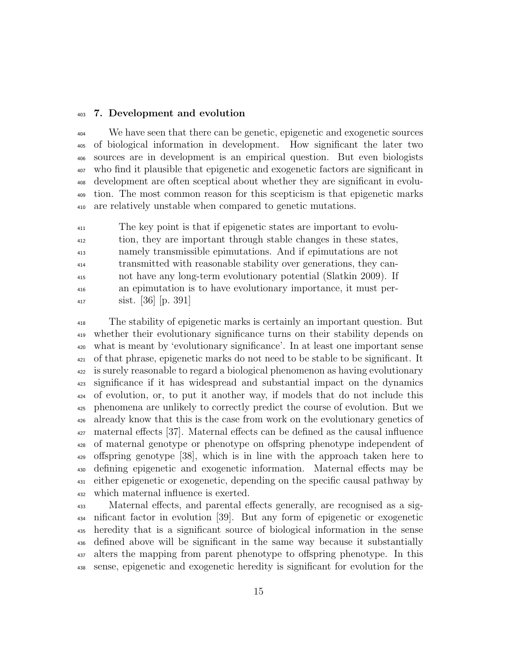#### 7. Development and evolution

 We have seen that there can be genetic, epigenetic and exogenetic sources of biological information in development. How significant the later two sources are in development is an empirical question. But even biologists who find it plausible that epigenetic and exogenetic factors are significant in development are often sceptical about whether they are significant in evolu- tion. The most common reason for this scepticism is that epigenetic marks are relatively unstable when compared to genetic mutations.

 The key point is that if epigenetic states are important to evolu- tion, they are important through stable changes in these states, namely transmissible epimutations. And if epimutations are not transmitted with reasonable stability over generations, they can- not have any long-term evolutionary potential (Slatkin 2009). If an epimutation is to have evolutionary importance, it must per-sist. [36] [p. 391]

 The stability of epigenetic marks is certainly an important question. But whether their evolutionary significance turns on their stability depends on what is meant by 'evolutionary significance'. In at least one important sense of that phrase, epigenetic marks do not need to be stable to be significant. It is surely reasonable to regard a biological phenomenon as having evolutionary significance if it has widespread and substantial impact on the dynamics of evolution, or, to put it another way, if models that do not include this phenomena are unlikely to correctly predict the course of evolution. But we already know that this is the case from work on the evolutionary genetics of maternal effects [37]. Maternal effects can be defined as the causal influence of maternal genotype or phenotype on offspring phenotype independent of offspring genotype [38], which is in line with the approach taken here to defining epigenetic and exogenetic information. Maternal effects may be either epigenetic or exogenetic, depending on the specific causal pathway by which maternal influence is exerted.

 Maternal effects, and parental effects generally, are recognised as a sig- nificant factor in evolution [39]. But any form of epigenetic or exogenetic heredity that is a significant source of biological information in the sense defined above will be significant in the same way because it substantially alters the mapping from parent phenotype to offspring phenotype. In this sense, epigenetic and exogenetic heredity is significant for evolution for the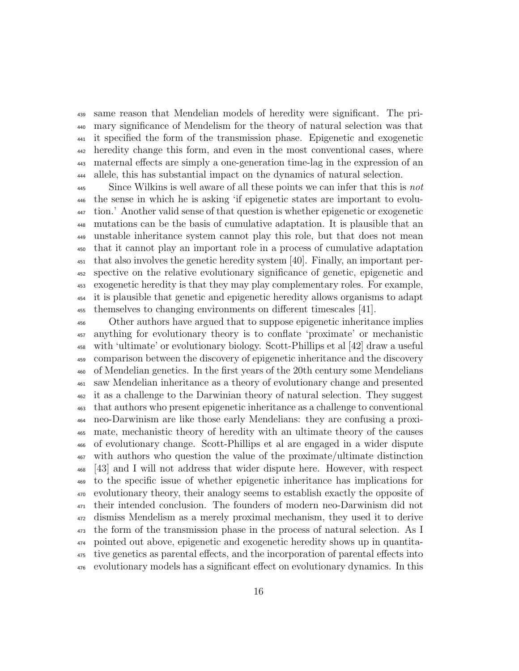same reason that Mendelian models of heredity were significant. The pri- mary significance of Mendelism for the theory of natural selection was that it specified the form of the transmission phase. Epigenetic and exogenetic heredity change this form, and even in the most conventional cases, where maternal effects are simply a one-generation time-lag in the expression of an allele, this has substantial impact on the dynamics of natural selection.

<sup>445</sup> Since Wilkins is well aware of all these points we can infer that this is not the sense in which he is asking 'if epigenetic states are important to evolu- tion.' Another valid sense of that question is whether epigenetic or exogenetic mutations can be the basis of cumulative adaptation. It is plausible that an unstable inheritance system cannot play this role, but that does not mean that it cannot play an important role in a process of cumulative adaptation that also involves the genetic heredity system [40]. Finally, an important per- spective on the relative evolutionary significance of genetic, epigenetic and exogenetic heredity is that they may play complementary roles. For example, it is plausible that genetic and epigenetic heredity allows organisms to adapt themselves to changing environments on different timescales [41].

 Other authors have argued that to suppose epigenetic inheritance implies anything for evolutionary theory is to conflate 'proximate' or mechanistic with 'ultimate' or evolutionary biology. Scott-Phillips et al [42] draw a useful comparison between the discovery of epigenetic inheritance and the discovery of Mendelian genetics. In the first years of the 20th century some Mendelians saw Mendelian inheritance as a theory of evolutionary change and presented it as a challenge to the Darwinian theory of natural selection. They suggest that authors who present epigenetic inheritance as a challenge to conventional neo-Darwinism are like those early Mendelians: they are confusing a proxi- mate, mechanistic theory of heredity with an ultimate theory of the causes of evolutionary change. Scott-Phillips et al are engaged in a wider dispute with authors who question the value of the proximate/ultimate distinction [43] and I will not address that wider dispute here. However, with respect to the specific issue of whether epigenetic inheritance has implications for evolutionary theory, their analogy seems to establish exactly the opposite of their intended conclusion. The founders of modern neo-Darwinism did not dismiss Mendelism as a merely proximal mechanism, they used it to derive the form of the transmission phase in the process of natural selection. As I pointed out above, epigenetic and exogenetic heredity shows up in quantita- tive genetics as parental effects, and the incorporation of parental effects into evolutionary models has a significant effect on evolutionary dynamics. In this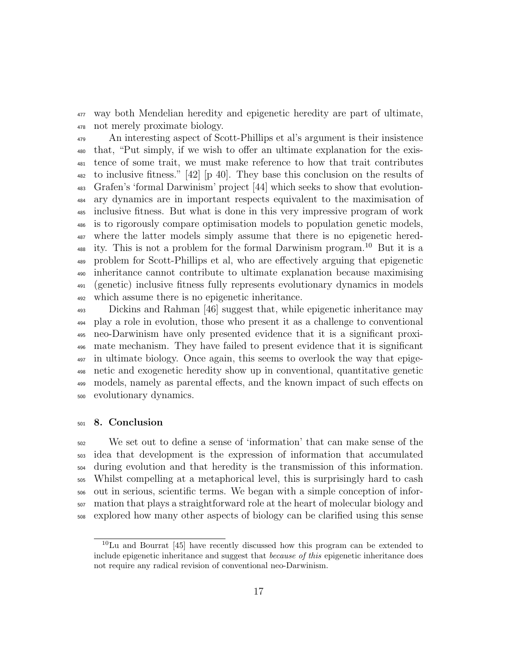way both Mendelian heredity and epigenetic heredity are part of ultimate, not merely proximate biology.

 An interesting aspect of Scott-Phillips et al's argument is their insistence that, "Put simply, if we wish to offer an ultimate explanation for the exis- tence of some trait, we must make reference to how that trait contributes  $\frac{482}{482}$  to inclusive fitness." [42] [p 40]. They base this conclusion on the results of Grafen's 'formal Darwinism' project [44] which seeks to show that evolution- ary dynamics are in important respects equivalent to the maximisation of inclusive fitness. But what is done in this very impressive program of work is to rigorously compare optimisation models to population genetic models, where the latter models simply assume that there is no epigenetic hered-<sup>488</sup> ity. This is not a problem for the formal Darwinism program.<sup>10</sup> But it is a problem for Scott-Phillips et al, who are effectively arguing that epigenetic inheritance cannot contribute to ultimate explanation because maximising (genetic) inclusive fitness fully represents evolutionary dynamics in models which assume there is no epigenetic inheritance.

 Dickins and Rahman [46] suggest that, while epigenetic inheritance may play a role in evolution, those who present it as a challenge to conventional neo-Darwinism have only presented evidence that it is a significant proxi- mate mechanism. They have failed to present evidence that it is significant in ultimate biology. Once again, this seems to overlook the way that epige- netic and exogenetic heredity show up in conventional, quantitative genetic models, namely as parental effects, and the known impact of such effects on evolutionary dynamics.

# 8. Conclusion

 We set out to define a sense of 'information' that can make sense of the idea that development is the expression of information that accumulated during evolution and that heredity is the transmission of this information. Whilst compelling at a metaphorical level, this is surprisingly hard to cash out in serious, scientific terms. We began with a simple conception of infor- mation that plays a straightforward role at the heart of molecular biology and explored how many other aspects of biology can be clarified using this sense

Lu and Bourrat [45] have recently discussed how this program can be extended to include epigenetic inheritance and suggest that because of this epigenetic inheritance does not require any radical revision of conventional neo-Darwinism.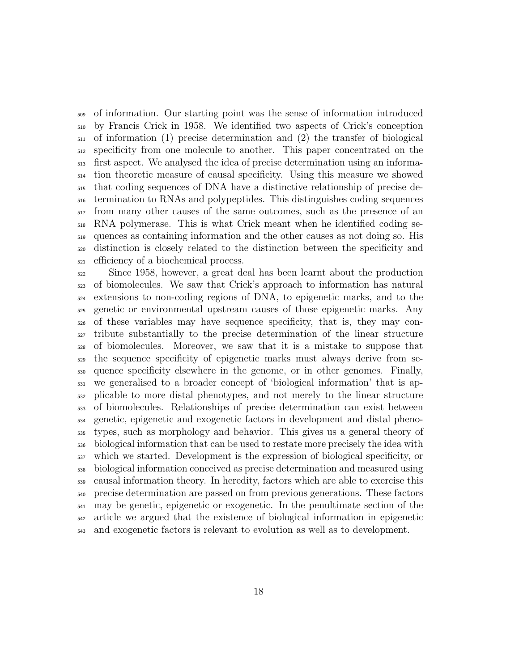of information. Our starting point was the sense of information introduced by Francis Crick in 1958. We identified two aspects of Crick's conception of information (1) precise determination and (2) the transfer of biological specificity from one molecule to another. This paper concentrated on the first aspect. We analysed the idea of precise determination using an informa- tion theoretic measure of causal specificity. Using this measure we showed that coding sequences of DNA have a distinctive relationship of precise de- termination to RNAs and polypeptides. This distinguishes coding sequences from many other causes of the same outcomes, such as the presence of an RNA polymerase. This is what Crick meant when he identified coding se- quences as containing information and the other causes as not doing so. His distinction is closely related to the distinction between the specificity and efficiency of a biochemical process.

 Since 1958, however, a great deal has been learnt about the production of biomolecules. We saw that Crick's approach to information has natural extensions to non-coding regions of DNA, to epigenetic marks, and to the genetic or environmental upstream causes of those epigenetic marks. Any of these variables may have sequence specificity, that is, they may con- tribute substantially to the precise determination of the linear structure of biomolecules. Moreover, we saw that it is a mistake to suppose that the sequence specificity of epigenetic marks must always derive from se- quence specificity elsewhere in the genome, or in other genomes. Finally, we generalised to a broader concept of 'biological information' that is ap- plicable to more distal phenotypes, and not merely to the linear structure of biomolecules. Relationships of precise determination can exist between genetic, epigenetic and exogenetic factors in development and distal pheno- types, such as morphology and behavior. This gives us a general theory of biological information that can be used to restate more precisely the idea with which we started. Development is the expression of biological specificity, or biological information conceived as precise determination and measured using causal information theory. In heredity, factors which are able to exercise this precise determination are passed on from previous generations. These factors may be genetic, epigenetic or exogenetic. In the penultimate section of the article we argued that the existence of biological information in epigenetic and exogenetic factors is relevant to evolution as well as to development.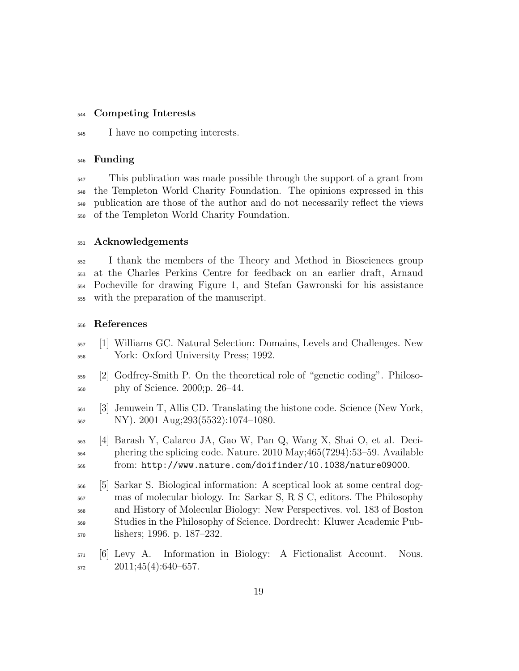# Competing Interests

# I have no competing interests.

# Funding

<sup>547</sup> This publication was made possible through the support of a grant from the Templeton World Charity Foundation. The opinions expressed in this publication are those of the author and do not necessarily reflect the views of the Templeton World Charity Foundation.

#### Acknowledgements

 I thank the members of the Theory and Method in Biosciences group at the Charles Perkins Centre for feedback on an earlier draft, Arnaud Pocheville for drawing Figure 1, and Stefan Gawronski for his assistance with the preparation of the manuscript.

#### References

- [1] Williams GC. Natural Selection: Domains, Levels and Challenges. New York: Oxford University Press; 1992.
- [2] Godfrey-Smith P. On the theoretical role of "genetic coding". Philoso-phy of Science. 2000;p. 26–44.
- [3] Jenuwein T, Allis CD. Translating the histone code. Science (New York, NY). 2001 Aug:293(5532):1074-1080.
- [4] Barash Y, Calarco JA, Gao W, Pan Q, Wang X, Shai O, et al. Deci- phering the splicing code. Nature. 2010 May;465(7294):53–59. Available from: http://www.nature.com/doifinder/10.1038/nature09000.
- [5] Sarkar S. Biological information: A sceptical look at some central dog- mas of molecular biology. In: Sarkar S, R S C, editors. The Philosophy and History of Molecular Biology: New Perspectives. vol. 183 of Boston Studies in the Philosophy of Science. Dordrecht: Kluwer Academic Pub-lishers; 1996. p. 187–232.
- [6] Levy A. Information in Biology: A Fictionalist Account. Nous.  $\frac{572}{2011;45(4):640-657.}$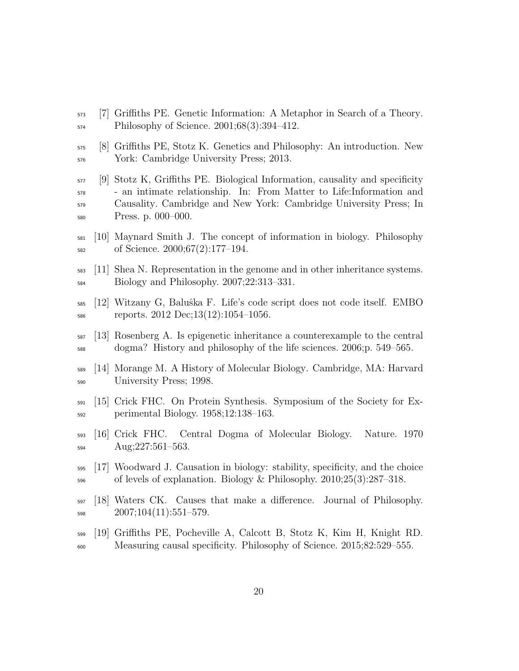- [7] Griffiths PE. Genetic Information: A Metaphor in Search of a Theory. Philosophy of Science. 2001;68(3):394–412.
- [8] Griffiths PE, Stotz K. Genetics and Philosophy: An introduction. New York: Cambridge University Press; 2013.
- [9] Stotz K, Griffiths PE. Biological Information, causality and specificity - an intimate relationship. In: From Matter to Life:Information and Causality. Cambridge and New York: Cambridge University Press; In Press. p. 000–000.
- [10] Maynard Smith J. The concept of information in biology. Philosophy of Science. 2000;67(2):177–194.
- [11] Shea N. Representation in the genome and in other inheritance systems. Biology and Philosophy. 2007;22:313–331.
- [12] Witzany G, Baluˆska F. Life's code script does not code itself. EMBO reports. 2012 Dec;13(12):1054–1056.
- [13] Rosenberg A. Is epigenetic inheritance a counterexample to the central dogma? History and philosophy of the life sciences. 2006;p. 549–565.
- [14] Morange M. A History of Molecular Biology. Cambridge, MA: Harvard University Press; 1998.
- [15] Crick FHC. On Protein Synthesis. Symposium of the Society for Ex-perimental Biology. 1958;12:138–163.
- [16] Crick FHC. Central Dogma of Molecular Biology. Nature. 1970 Aug;227:561–563.
- [17] Woodward J. Causation in biology: stability, specificity, and the choice 596 of levels of explanation. Biology & Philosophy.  $2010;25(3):287-318$ .
- [18] Waters CK. Causes that make a difference. Journal of Philosophy.  $2007;104(11):551-579$ .
- [19] Griffiths PE, Pocheville A, Calcott B, Stotz K, Kim H, Knight RD. Measuring causal specificity. Philosophy of Science. 2015;82:529–555.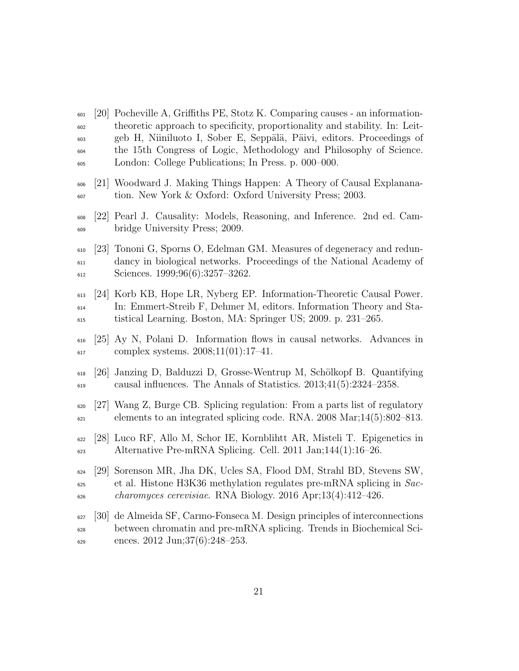- $\frac{601}{20}$  Pocheville A, Griffiths PE, Stotz K. Comparing causes an information- theoretic approach to specificity, proportionality and stability. In: Leit-<sub>603</sub> geb H, Niiniluoto I, Sober E, Seppälä, Päivi, editors. Proceedings of the 15th Congress of Logic, Methodology and Philosophy of Science. London: College Publications; In Press. p. 000–000.
- [21] Woodward J. Making Things Happen: A Theory of Causal Explanana-tion. New York & Oxford: Oxford University Press; 2003.
- [22] Pearl J. Causality: Models, Reasoning, and Inference. 2nd ed. Cam-bridge University Press; 2009.
- [23] Tononi G, Sporns O, Edelman GM. Measures of degeneracy and redun- dancy in biological networks. Proceedings of the National Academy of Sciences. 1999;96(6):3257–3262.
- [24] Korb KB, Hope LR, Nyberg EP. Information-Theoretic Causal Power. In: Emmert-Streib F, Dehmer M, editors. Information Theory and Sta-tistical Learning. Boston, MA: Springer US; 2009. p. 231–265.
- [25] Ay N, Polani D. Information flows in causal networks. Advances in  $_{617}$  complex systems.  $2008;11(01):17-41$ .
- [26] Janzing D, Balduzzi D, Grosse-Wentrup M, Schölkopf B. Quantifying causal influences. The Annals of Statistics. 2013;41(5):2324–2358.
- [27] Wang Z, Burge CB. Splicing regulation: From a parts list of regulatory  $\epsilon_{621}$  elements to an integrated splicing code. RNA. 2008 Mar; 14(5):802–813.
- [28] Luco RF, Allo M, Schor IE, Kornblihtt AR, Misteli T. Epigenetics in Alternative Pre-mRNA Splicing. Cell. 2011 Jan;144(1):16–26.
- [29] Sorenson MR, Jha DK, Ucles SA, Flood DM, Strahl BD, Stevens SW,  $\epsilon_{625}$  et al. Histone H3K36 methylation regulates pre-mRNA splicing in *Sac*- $\epsilon_{626}$  charomyces cerevisiae. RNA Biology. 2016 Apr; 13(4): 412–426.
- [30] de Almeida SF, Carmo-Fonseca M. Design principles of interconnections between chromatin and pre-mRNA splicing. Trends in Biochemical Sci-ences. 2012 Jun;37(6):248–253.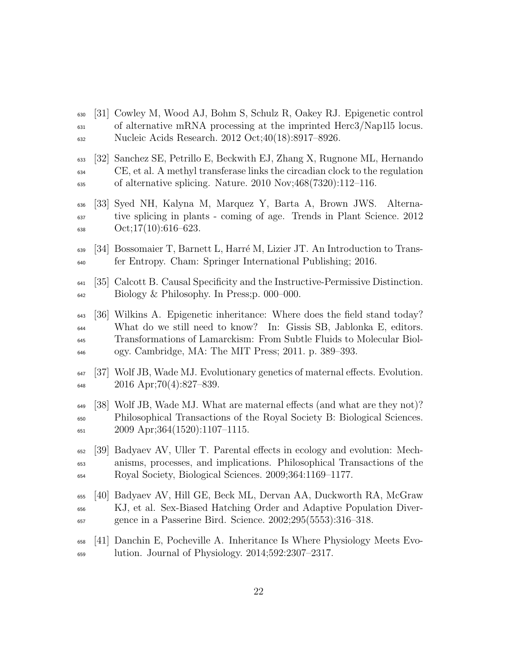- [31] Cowley M, Wood AJ, Bohm S, Schulz R, Oakey RJ. Epigenetic control of alternative mRNA processing at the imprinted Herc3/Nap1l5 locus. Nucleic Acids Research. 2012 Oct;40(18):8917–8926.
- [32] Sanchez SE, Petrillo E, Beckwith EJ, Zhang X, Rugnone ML, Hernando CE, et al. A methyl transferase links the circadian clock to the regulation  $\epsilon_{35}$  of alternative splicing. Nature. 2010 Nov; 468(7320): 112–116.
- [33] Syed NH, Kalyna M, Marquez Y, Barta A, Brown JWS. Alterna- tive splicing in plants - coming of age. Trends in Plant Science. 2012 638  $Oct;17(10):616-623.$
- [34] Bossomaier T, Barnett L, Harré M, Lizier JT. An Introduction to Trans-fer Entropy. Cham: Springer International Publishing; 2016.
- [35] Calcott B. Causal Specificity and the Instructive-Permissive Distinction. Biology & Philosophy. In Press;p. 000–000.
- [36] Wilkins A. Epigenetic inheritance: Where does the field stand today? What do we still need to know? In: Gissis SB, Jablonka E, editors. Transformations of Lamarckism: From Subtle Fluids to Molecular Biol-ogy. Cambridge, MA: The MIT Press; 2011. p. 389–393.
- [37] Wolf JB, Wade MJ. Evolutionary genetics of maternal effects. Evolution.  $_{648}$  2016 Apr; 70(4): 827–839.
- [38] Wolf JB, Wade MJ. What are maternal effects (and what are they not)? Philosophical Transactions of the Royal Society B: Biological Sciences.  $_{651}$  2009 Apr;364(1520):1107–1115.
- [39] Badyaev AV, Uller T. Parental effects in ecology and evolution: Mech- anisms, processes, and implications. Philosophical Transactions of the Royal Society, Biological Sciences. 2009;364:1169–1177.
- [40] Badyaev AV, Hill GE, Beck ML, Dervan AA, Duckworth RA, McGraw KJ, et al. Sex-Biased Hatching Order and Adaptive Population Diver-gence in a Passerine Bird. Science. 2002;295(5553):316–318.
- [41] Danchin E, Pocheville A. Inheritance Is Where Physiology Meets Evo-lution. Journal of Physiology. 2014;592:2307–2317.